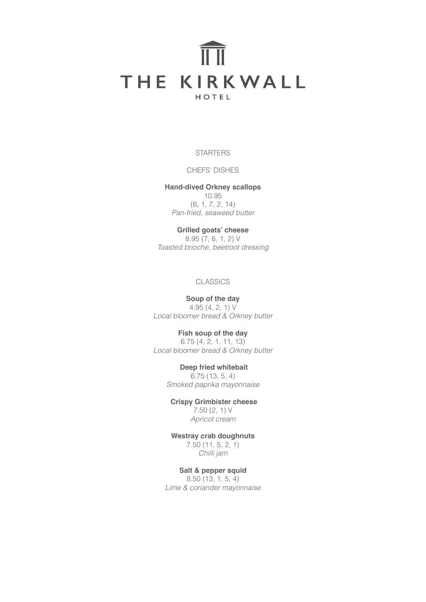# THE KIRKWALL HOTEL

**STARTERS** 

CHEFS' DISHES

**Hand-dived Orkney scallops** 10.95 (6, 1, 7, 2, 14) *Pan-fried, seaweed butter*

**Grilled goats' cheese** 8.95 (7, 6, 1, 2) V *Toasted brioche, beetroot dressing*

## **CLASSICS**

**Soup of the day** 4.95 (4, 2, 1) V *Local bloomer bread & Orkney butter*

**Fish soup of the day**

6.75 (4, 2, 1, 11, 13) *Local bloomer bread & Orkney butter*

> **Deep fried whitebait** 6.75 (13, 5, 4) *Smoked paprika mayonnaise*

 **Crispy Grimbister cheese** 7.50 (2, 1) V *Apricot cream*

**Westray crab doughnuts** 7.50 (11, 5, 2, 1) *Chilli jam*

**Salt & pepper squid** 8.50 (13, 1, 5, 4) *Lime & coriander mayonnaise*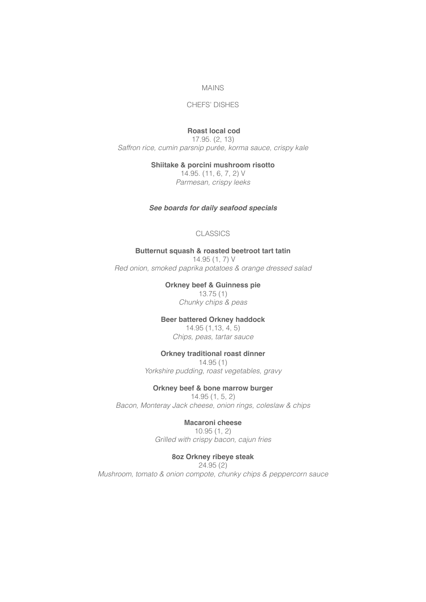#### MAINS

## CHEFS' DISHES

## **Roast local cod**

17.95. (2, 13) *Saffron rice, cumin parsnip purée, korma sauce, crispy kale* 

**Shiitake & porcini mushroom risotto**

14.95. (11, 6, 7, 2) V *Parmesan, crispy leeks*

## *See boards for daily seafood specials*

# CLASSICS

## **Butternut squash & roasted beetroot tart tatin**

 14.95 (1, 7) V *Red onion, smoked paprika potatoes & orange dressed salad*

> **Orkney beef & Guinness pie** 13.75 (1)

*Chunky chips & peas*

# **Beer battered Orkney haddock**

14.95 (1,13, 4, 5) *Chips, peas, tartar sauce*

# **Orkney traditional roast dinner**

14.95 (1) *Yorkshire pudding, roast vegetables, gravy*

# **Orkney beef & bone marrow burger**

14.95 (1, 5, 2) *Bacon, Monteray Jack cheese, onion rings, coleslaw & chips*

#### **Macaroni cheese**

10.95 (1, 2) *Grilled with crispy bacon, cajun fries* 

# **8oz Orkney ribeye steak**

24.95 (2) *Mushroom, tomato & onion compote, chunky chips & peppercorn sauce*